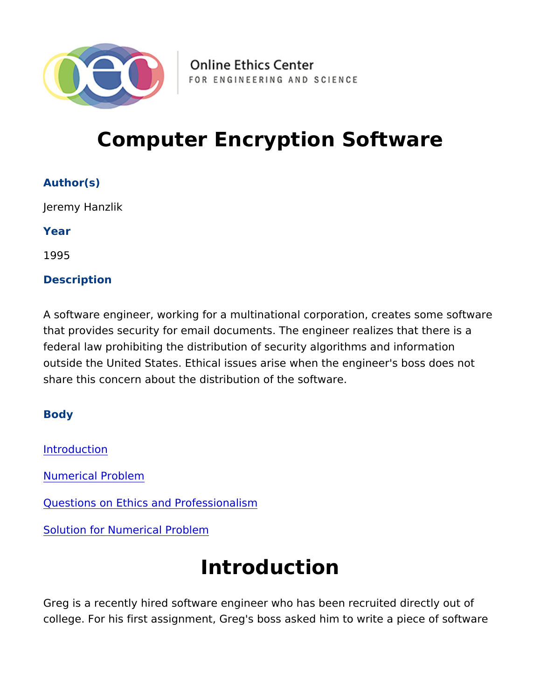# Computer Encryption Software

Author(s) Jeremy Hanzlik Year 1995 Description

A software engineer, working for a multinational corporation, crea that provides security for email documents. The engineer realizes federal law prohibiting the distribution of security algorithms and outside the United States. Ethical issues arise when the engineer share this concern about the distribution of the software.

Body

Introduction

[Numerical Pro](#page-1-0)blem

[Questions on Ethics and Pro](#page-2-0)fessionalism

[Solution for Numerica](#page-2-0)l Problem

# Introduction

Greg is a recently hired software engineer who has been recruited college. For his first assignment, Greg's boss asked him to write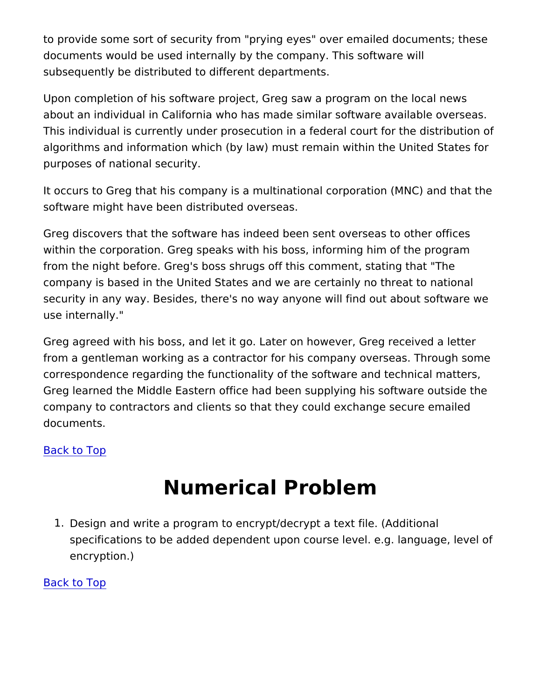<span id="page-1-0"></span>to provide some sort of security from "prying eyes" over emailed documents would be used internally by the company. This softwar subsequently be distributed to different departments.

Upon completion of his software project, Greg saw a program on t about an individual in California who has made similar software a This individual is currently under prosecution in a federal court f algorithms and information which (by law) must remain within the purposes of national security.

It occurs to Greg that his company is a multinational corporation software might have been distributed overseas.

Greg discovers that the software has indeed been sent overseas to within the corporation. Greg speaks with his boss, informing him from the night before. Greg's boss shrugs off this comment, stating company is based in the United States and we are certainly no th security in any way. Besides, there's no way anyone will find out use internally."

Greg agreed with his boss, and let it go. Later on however, Greg from a gentleman working as a contractor for his company overse. correspondence regarding the functionality of the software and te Greg learned the Middle Eastern office had been supplying his so company to contractors and clients so that they could exchange s documents.

Back to Top

### Numerical Problem

1. Design and write a program to encrypt/decrypt a text file. (Ad specifications to be added dependent upon course level. e.g. encryption.)

Back to Top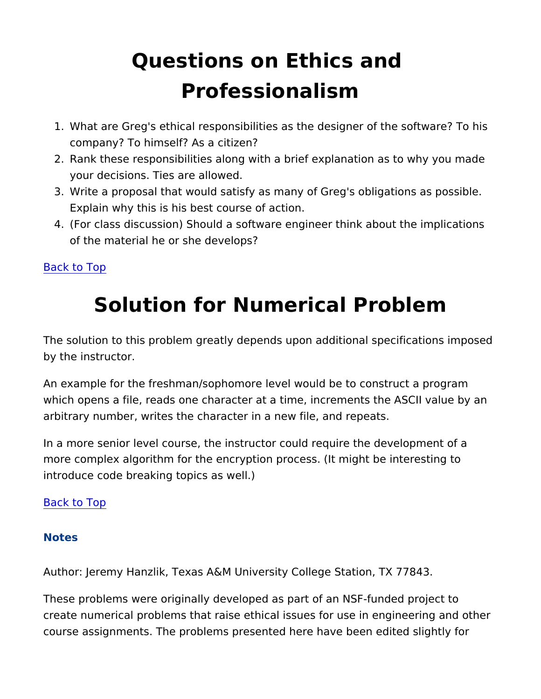# Questions on Ethics and Professionalism

- <span id="page-2-0"></span>1. What are Greg's ethical responsibilities as the designer of the company? To himself? As a citizen?
- 2. Rank these responsibilities along with a brief explanation as t your decisions. Ties are allowed.
- 3. Write a proposal that would satisfy as many of Greg's obligati Explain why this is his best course of action.
- 4. (For class discussion) Should a software engineer think about of the material he or she develops?

Back to Top

## Solution for Numerical Problem

The solution to this problem greatly depends upon additional spec by the instructor.

An example for the freshman/sophomore level would be to constru which opens a file, reads one character at a time, increments the arbitrary number, writes the character in a new file, and repeats.

In a more senior level course, the instructor could require the de more complex algorithm for the encryption process. (It might be interesting to  $\overline{a}$ introduce code breaking topics as well.)

Back to Top

Notes

Author: Jeremy Hanzlik, Texas A&M University College Station, T.

These problems were originally developed as part of an NSF-fund create numerical problems that raise ethical issues for use in eng course assignments. The problems presented here have been edit